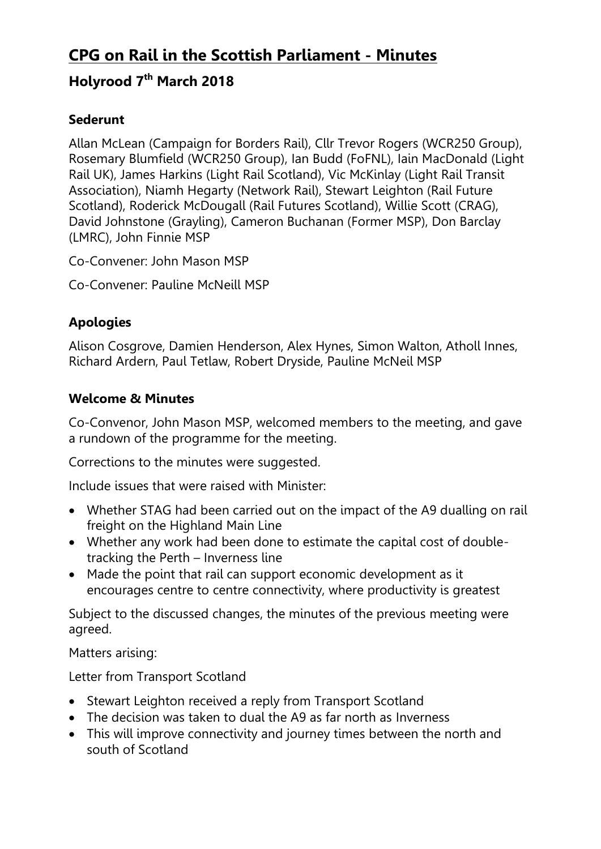# **CPG on Rail in the Scottish Parliament - Minutes**

# **Holyrood 7th March 2018**

#### **Sederunt**

Allan McLean (Campaign for Borders Rail), Cllr Trevor Rogers (WCR250 Group), Rosemary Blumfield (WCR250 Group), Ian Budd (FoFNL), Iain MacDonald (Light Rail UK), James Harkins (Light Rail Scotland), Vic McKinlay (Light Rail Transit Association), Niamh Hegarty (Network Rail), Stewart Leighton (Rail Future Scotland), Roderick McDougall (Rail Futures Scotland), Willie Scott (CRAG), David Johnstone (Grayling), Cameron Buchanan (Former MSP), Don Barclay (LMRC), John Finnie MSP

Co-Convener: John Mason MSP

Co-Convener: Pauline McNeill MSP

### **Apologies**

Alison Cosgrove, Damien Henderson, Alex Hynes, Simon Walton, Atholl Innes, Richard Ardern, Paul Tetlaw, Robert Dryside, Pauline McNeil MSP

### **Welcome & Minutes**

Co-Convenor, John Mason MSP, welcomed members to the meeting, and gave a rundown of the programme for the meeting.

Corrections to the minutes were suggested.

Include issues that were raised with Minister:

- Whether STAG had been carried out on the impact of the A9 dualling on rail freight on the Highland Main Line
- Whether any work had been done to estimate the capital cost of doubletracking the Perth – Inverness line
- Made the point that rail can support economic development as it encourages centre to centre connectivity, where productivity is greatest

Subject to the discussed changes, the minutes of the previous meeting were agreed.

Matters arising:

Letter from Transport Scotland

- Stewart Leighton received a reply from Transport Scotland
- The decision was taken to dual the A9 as far north as Inverness
- This will improve connectivity and journey times between the north and south of Scotland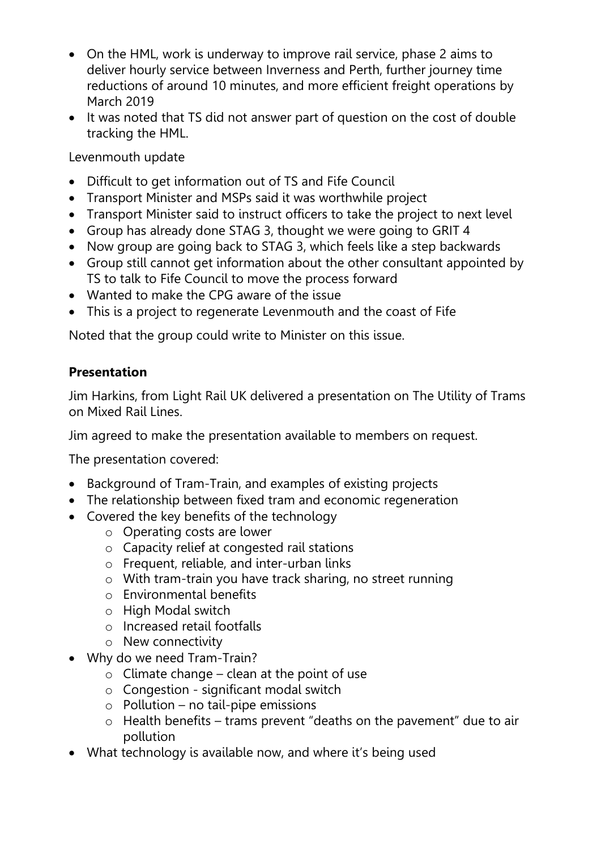- On the HML, work is underway to improve rail service, phase 2 aims to deliver hourly service between Inverness and Perth, further journey time reductions of around 10 minutes, and more efficient freight operations by March 2019
- It was noted that TS did not answer part of question on the cost of double tracking the HML.

Levenmouth update

- Difficult to get information out of TS and Fife Council
- Transport Minister and MSPs said it was worthwhile project
- Transport Minister said to instruct officers to take the project to next level
- Group has already done STAG 3, thought we were going to GRIT 4
- Now group are going back to STAG 3, which feels like a step backwards
- Group still cannot get information about the other consultant appointed by TS to talk to Fife Council to move the process forward
- Wanted to make the CPG aware of the issue
- This is a project to regenerate Levenmouth and the coast of Fife

Noted that the group could write to Minister on this issue.

#### **Presentation**

Jim Harkins, from Light Rail UK delivered a presentation on The Utility of Trams on Mixed Rail Lines.

Jim agreed to make the presentation available to members on request.

The presentation covered:

- Background of Tram-Train, and examples of existing projects
- The relationship between fixed tram and economic regeneration
- Covered the key benefits of the technology
	- o Operating costs are lower
	- o Capacity relief at congested rail stations
	- o Frequent, reliable, and inter-urban links
	- o With tram-train you have track sharing, no street running
	- o Environmental benefits
	- o High Modal switch
	- o Increased retail footfalls
	- o New connectivity
- Why do we need Tram-Train?
	- $\circ$  Climate change clean at the point of use
	- o Congestion significant modal switch
	- $\circ$  Pollution no tail-pipe emissions
	- o Health benefits trams prevent "deaths on the pavement" due to air pollution
- What technology is available now, and where it's being used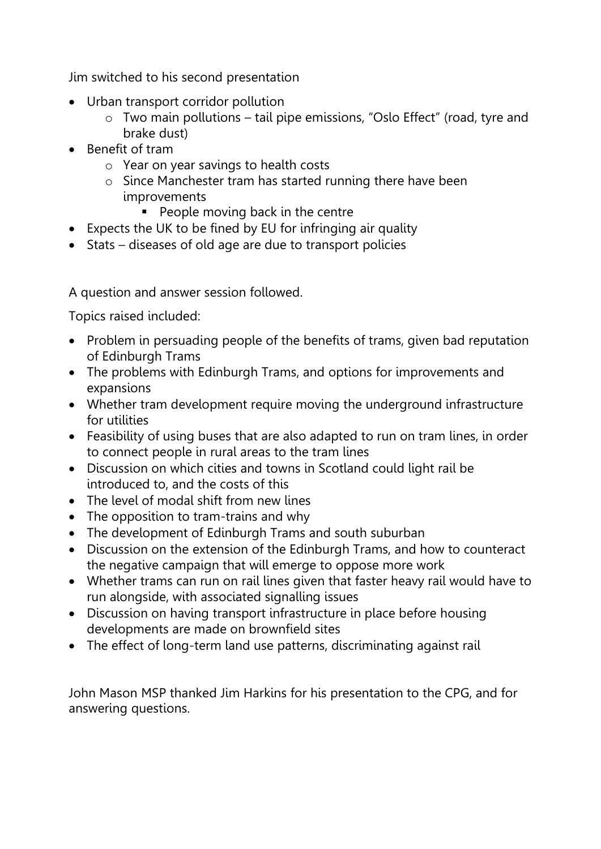Jim switched to his second presentation

- Urban transport corridor pollution
	- o Two main pollutions tail pipe emissions, "Oslo Effect" (road, tyre and brake dust)
- Benefit of tram
	- o Year on year savings to health costs
	- o Since Manchester tram has started running there have been improvements
		- **People moving back in the centre**
- Expects the UK to be fined by EU for infringing air quality
- Stats diseases of old age are due to transport policies

A question and answer session followed.

Topics raised included:

- Problem in persuading people of the benefits of trams, given bad reputation of Edinburgh Trams
- The problems with Edinburgh Trams, and options for improvements and expansions
- Whether tram development require moving the underground infrastructure for utilities
- Feasibility of using buses that are also adapted to run on tram lines, in order to connect people in rural areas to the tram lines
- Discussion on which cities and towns in Scotland could light rail be introduced to, and the costs of this
- The level of modal shift from new lines
- The opposition to tram-trains and why
- The development of Edinburgh Trams and south suburban
- Discussion on the extension of the Edinburgh Trams, and how to counteract the negative campaign that will emerge to oppose more work
- Whether trams can run on rail lines given that faster heavy rail would have to run alongside, with associated signalling issues
- Discussion on having transport infrastructure in place before housing developments are made on brownfield sites
- The effect of long-term land use patterns, discriminating against rail

John Mason MSP thanked Jim Harkins for his presentation to the CPG, and for answering questions.